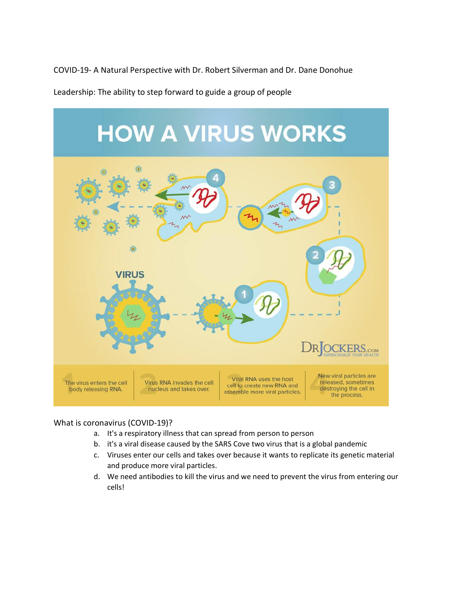COVID-19- A Natural Perspective with Dr. Robert Silverman and Dr. Dane Donohue

Leadership: The ability to step forward to guide a group of people



#### What is coronavirus (COVID-19)?

- a. It's a respiratory illness that can spread from person to person
- b. it's a viral disease caused by the SARS Cove two virus that is a global pandemic
- c. Viruses enter our cells and takes over because it wants to replicate its genetic material and produce more viral particles.
- d. We need antibodies to kill the virus and we need to prevent the virus from entering our cells!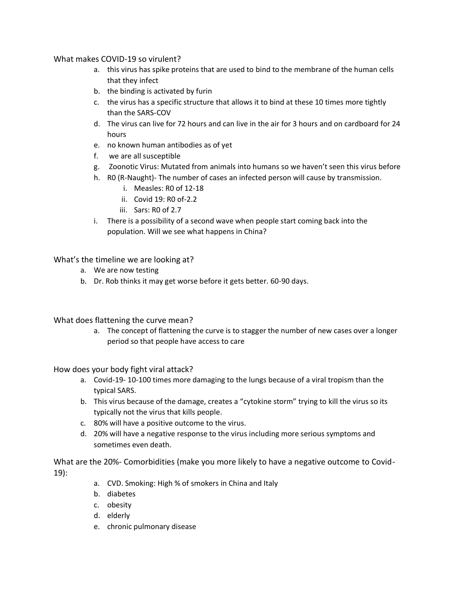What makes COVID-19 so virulent?

- a. this virus has spike proteins that are used to bind to the membrane of the human cells that they infect
- b. the binding is activated by furin
- c. the virus has a specific structure that allows it to bind at these 10 times more tightly than the SARS-COV
- d. The virus can live for 72 hours and can live in the air for 3 hours and on cardboard for 24 hours
- e. no known human antibodies as of yet
- f. we are all susceptible
- g. Zoonotic Virus: Mutated from animals into humans so we haven't seen this virus before
- h. R0 (R-Naught)- The number of cases an infected person will cause by transmission.
	- i. Measles: R0 of 12-18
	- ii. Covid  $19:$  RO of-2.2
	- iii. Sars: R0 of 2.7
- i. There is a possibility of a second wave when people start coming back into the population. Will we see what happens in China?

What's the timeline we are looking at?

- a. We are now testing
- b. Dr. Rob thinks it may get worse before it gets better. 60-90 days.

What does flattening the curve mean?

a. The concept of flattening the curve is to stagger the number of new cases over a longer period so that people have access to care

How does your body fight viral attack?

- a. Covid-19- 10-100 times more damaging to the lungs because of a viral tropism than the typical SARS.
- b. This virus because of the damage, creates a "cytokine storm" trying to kill the virus so its typically not the virus that kills people.
- c. 80% will have a positive outcome to the virus.
- d. 20% will have a negative response to the virus including more serious symptoms and sometimes even death.

What are the 20%- Comorbidities (make you more likely to have a negative outcome to Covid-19):

- a. CVD. Smoking: High % of smokers in China and Italy
- b. diabetes
- c. obesity
- d. elderly
- e. chronic pulmonary disease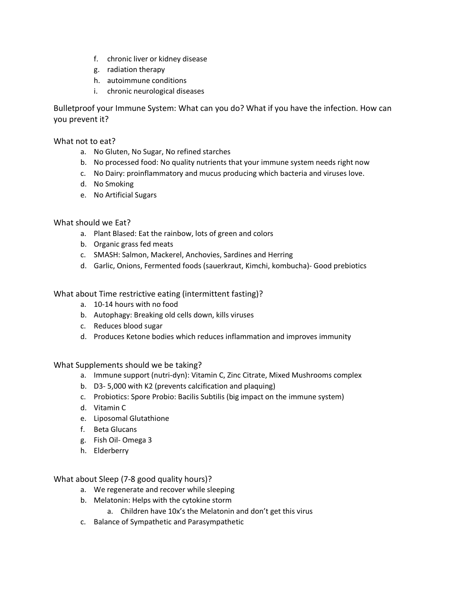- f. chronic liver or kidney disease
- g. radiation therapy
- h. autoimmune conditions
- i. chronic neurological diseases

Bulletproof your Immune System: What can you do? What if you have the infection. How can you prevent it?

What not to eat?

- a. No Gluten, No Sugar, No refined starches
- b. No processed food: No quality nutrients that your immune system needs right now
- c. No Dairy: proinflammatory and mucus producing which bacteria and viruses love.
- d. No Smoking
- e. No Artificial Sugars

# What should we Eat?

- a. Plant Blased: Eat the rainbow, lots of green and colors
- b. Organic grass fed meats
- c. SMASH: Salmon, Mackerel, Anchovies, Sardines and Herring
- d. Garlic, Onions, Fermented foods (sauerkraut, Kimchi, kombucha)- Good prebiotics

## What about Time restrictive eating (intermittent fasting)?

- a. 10-14 hours with no food
- b. Autophagy: Breaking old cells down, kills viruses
- c. Reduces blood sugar
- d. Produces Ketone bodies which reduces inflammation and improves immunity

What Supplements should we be taking?

- a. Immune support (nutri-dyn): Vitamin C, Zinc Citrate, Mixed Mushrooms complex
- b. D3- 5,000 with K2 (prevents calcification and plaquing)
- c. Probiotics: Spore Probio: Bacilis Subtilis (big impact on the immune system)
- d. Vitamin C
- e. Liposomal Glutathione
- f. Beta Glucans
- g. Fish Oil- Omega 3
- h. Elderberry

What about Sleep (7-8 good quality hours)?

- a. We regenerate and recover while sleeping
- b. Melatonin: Helps with the cytokine storm
	- a. Children have 10x's the Melatonin and don't get this virus
- c. Balance of Sympathetic and Parasympathetic